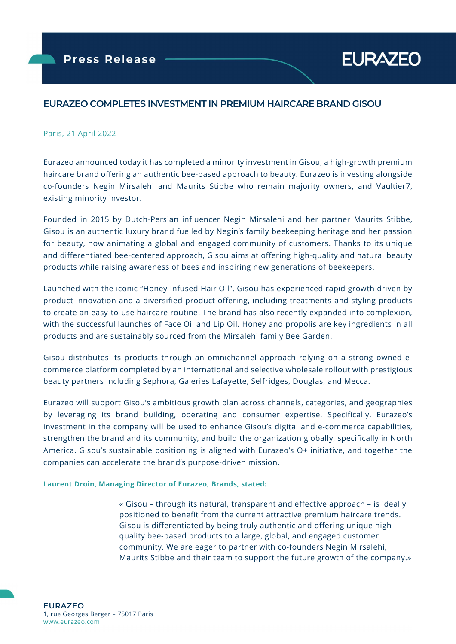# EURAZEO COMPLETES INVESTMENT IN PREMIUM HAIRCARE BRAND GISOU

## Paris, 21 April 2022

ł

Eurazeo announced today it has completed a minority investment in Gisou, a high-growth premium haircare brand offering an authentic bee-based approach to beauty. Eurazeo is investing alongside co-founders Negin Mirsalehi and Maurits Stibbe who remain majority owners, and Vaultier7, existing minority investor.

Founded in 2015 by Dutch-Persian influencer Negin Mirsalehi and her partner Maurits Stibbe, Gisou is an authentic luxury brand fuelled by Negin's family beekeeping heritage and her passion for beauty, now animating a global and engaged community of customers. Thanks to its unique and differentiated bee-centered approach, Gisou aims at offering high-quality and natural beauty products while raising awareness of bees and inspiring new generations of beekeepers.

Launched with the iconic "Honey Infused Hair Oil", Gisou has experienced rapid growth driven by product innovation and a diversified product offering, including treatments and styling products to create an easy-to-use haircare routine. The brand has also recently expanded into complexion, with the successful launches of Face Oil and Lip Oil. Honey and propolis are key ingredients in all products and are sustainably sourced from the Mirsalehi family Bee Garden.

Gisou distributes its products through an omnichannel approach relying on a strong owned ecommerce platform completed by an international and selective wholesale rollout with prestigious beauty partners including Sephora, Galeries Lafayette, Selfridges, Douglas, and Mecca.

Eurazeo will support Gisou's ambitious growth plan across channels, categories, and geographies by leveraging its brand building, operating and consumer expertise. Specifically, Eurazeo's investment in the company will be used to enhance Gisou's digital and e-commerce capabilities, strengthen the brand and its community, and build the organization globally, specifically in North America. Gisou's sustainable positioning is aligned with Eurazeo's O+ initiative, and together the companies can accelerate the brand's purpose-driven mission.

## Laurent Droin, Managing Director of Eurazeo, Brands, stated:

« Gisou – through its natural, transparent and effective approach – is ideally positioned to benefit from the current attractive premium haircare trends. Gisou is differentiated by being truly authentic and offering unique highquality bee-based products to a large, global, and engaged customer community. We are eager to partner with co-founders Negin Mirsalehi, Maurits Stibbe and their team to support the future growth of the company.»